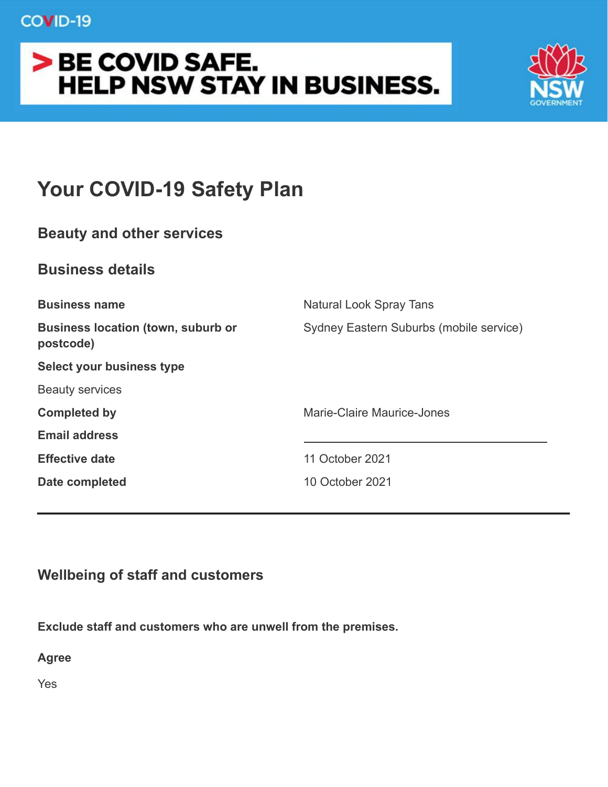# COVID-19

# > BE COVID SAFE. **HELP NSW STAY IN BUSINESS.**



# **Your COVID-19 Safety Plan**

# **Beauty and other services**

# **Business details**

| Sydney Eastern Suburbs (mobile service)<br>postcode)<br>Marie-Claire Maurice-Jones<br>11 October 2021 | <b>Business name</b>                      | Natural Look Spray Tans |
|-------------------------------------------------------------------------------------------------------|-------------------------------------------|-------------------------|
|                                                                                                       | <b>Business location (town, suburb or</b> |                         |
|                                                                                                       | Select your business type                 |                         |
|                                                                                                       | <b>Beauty services</b>                    |                         |
|                                                                                                       | <b>Completed by</b>                       |                         |
|                                                                                                       | <b>Email address</b>                      |                         |
|                                                                                                       | <b>Effective date</b>                     |                         |
| 10 October 2021                                                                                       | Date completed                            |                         |
|                                                                                                       |                                           |                         |

# **Wellbeing of staff and customers**

**Exclude staff and customers who are unwell from the premises.**

**Agree**

Yes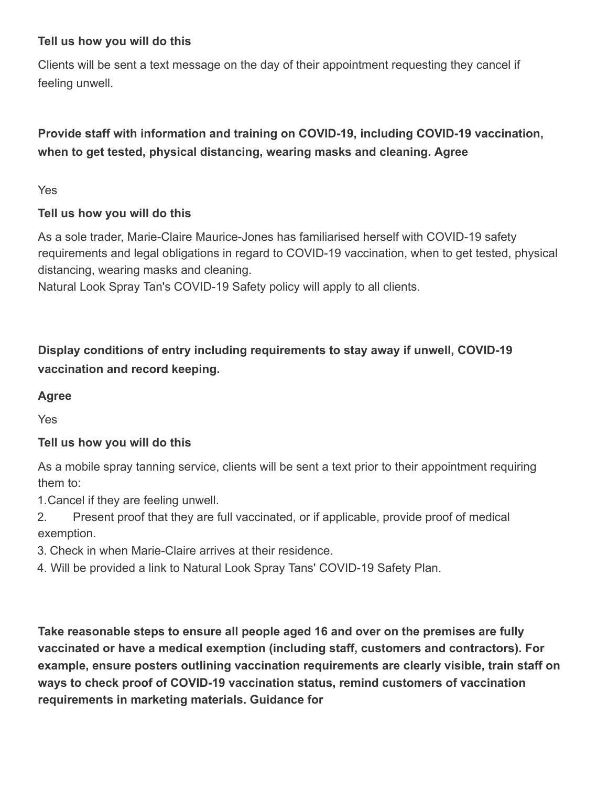## **Tell us how you will do this**

Clients will be sent a text message on the day of their appointment requesting they cancel if feeling unwell.

# **Provide staff with information and training on COVID-19, including COVID-19 vaccination, when to get tested, physical distancing, wearing masks and cleaning. Agree**

Yes

## **Tell us how you will do this**

As a sole trader, Marie-Claire Maurice-Jones has familiarised herself with COVID-19 safety requirements and legal obligations in regard to COVID-19 vaccination, when to get tested, physical distancing, wearing masks and cleaning.

Natural Look Spray Tan's COVID-19 Safety policy will apply to all clients.

**Display conditions of entry including requirements to stay away if unwell, COVID-19 vaccination and record keeping.**

# **Agree**

Yes

## **Tell us how you will do this**

As a mobile spray tanning service, clients will be sent a text prior to their appointment requiring them to:

1.Cancel if they are feeling unwell.

2. Present proof that they are full vaccinated, or if applicable, provide proof of medical exemption.

3. Check in when Marie-Claire arrives at their residence.

4. Will be provided a link to Natural Look Spray Tans' COVID-19 Safety Plan.

**Take reasonable steps to ensure all people aged 16 and over on the premises are fully vaccinated or have a medical exemption (including staff, customers and contractors). For example, ensure posters outlining vaccination requirements are clearly visible, train staff on ways to check proof of COVID-19 vaccination status, remind customers of vaccination requirements in marketing materials. Guidance for**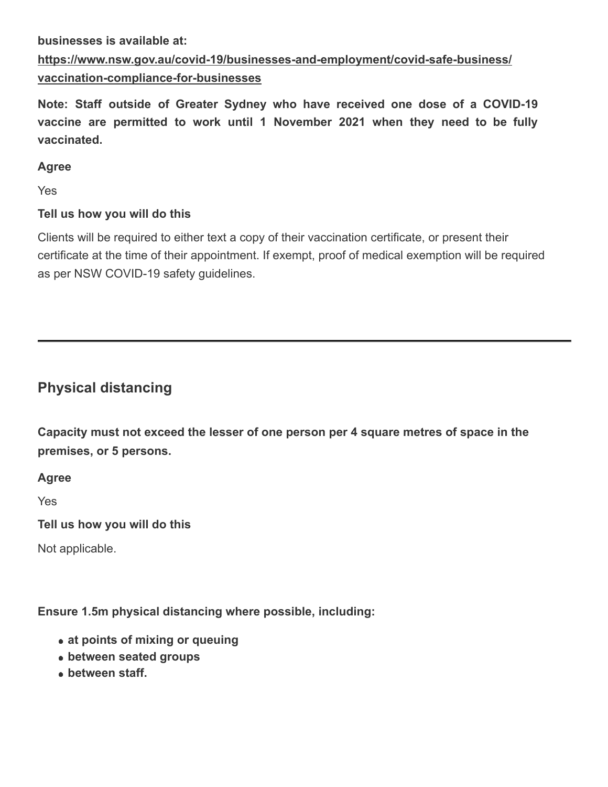#### **businesses is available at:**

# **[https://www.nsw.gov.au/covid-19/businesses-and-employment/covid-safe-business/](https://www.nsw.gov.au/covid-19/businesses-and-employment/covid-safe-business/vaccination-compliance-for-businesses) [vaccination-compliance-for-businesses](https://www.nsw.gov.au/covid-19/businesses-and-employment/covid-safe-business/vaccination-compliance-for-businesses)**

**Note: Staff outside of Greater Sydney who have received one dose of a COVID-19 vaccine are permitted to work until 1 November 2021 when they need to be fully vaccinated.**

#### **Agree**

Yes

## **Tell us how you will do this**

Clients will be required to either text a copy of their vaccination certificate, or present their certificate at the time of their appointment. If exempt, proof of medical exemption will be required as per NSW COVID-19 safety guidelines.

# **Physical distancing**

**Capacity must not exceed the lesser of one person per 4 square metres of space in the premises, or 5 persons.**

**Agree**

Yes

**Tell us how you will do this**

Not applicable.

**Ensure 1.5m physical distancing where possible, including:**

- **at points of mixing or queuing**
- **between seated groups**
- **between staff.**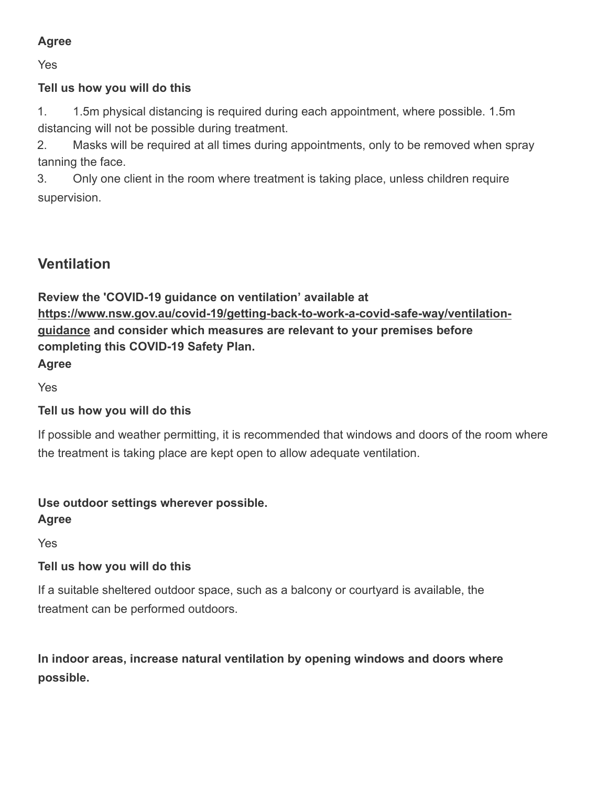# **Agree**

Yes

## **Tell us how you will do this**

1. 1.5m physical distancing is required during each appointment, where possible. 1.5m distancing will not be possible during treatment.

2. Masks will be required at all times during appointments, only to be removed when spray tanning the face.

3. Only one client in the room where treatment is taking place, unless children require supervision.

# **Ventilation**

**Review the 'COVID-19 guidance on ventilation' available at [https://www.nsw.gov.au/covid-19/getting-back-to-work-a-covid-safe-way/ventilation](https://www.nsw.gov.au/covid-19/getting-back-to-work-a-covid-safe-way/ventilation-guidance)[guidance](https://www.nsw.gov.au/covid-19/getting-back-to-work-a-covid-safe-way/ventilation-guidance) and consider which measures are relevant to your premises before completing this COVID-19 Safety Plan.**

Yes

**Agree**

## **Tell us how you will do this**

If possible and weather permitting, it is recommended that windows and doors of the room where the treatment is taking place are kept open to allow adequate ventilation.

# **Use outdoor settings wherever possible.**

**Agree**

Yes

# **Tell us how you will do this**

If a suitable sheltered outdoor space, such as a balcony or courtyard is available, the treatment can be performed outdoors.

**In indoor areas, increase natural ventilation by opening windows and doors where possible.**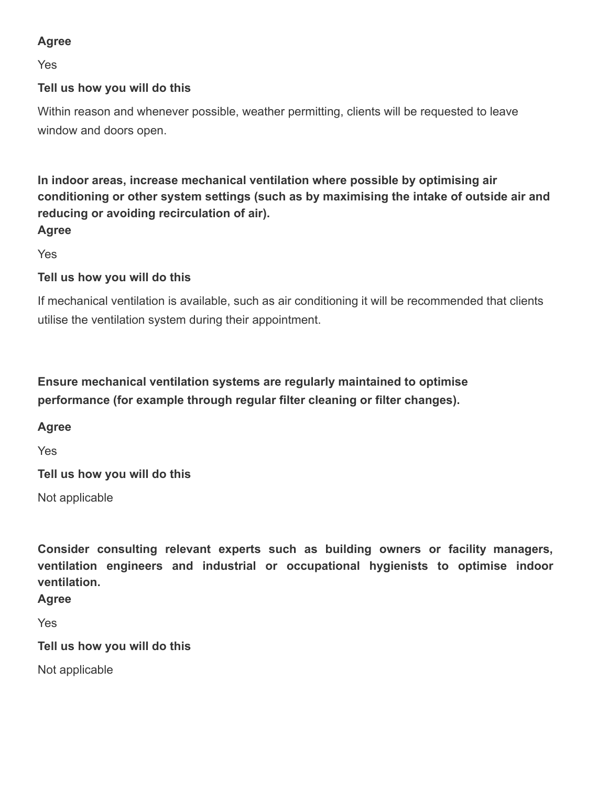# **Agree**

Yes

## **Tell us how you will do this**

Within reason and whenever possible, weather permitting, clients will be requested to leave window and doors open.

**In indoor areas, increase mechanical ventilation where possible by optimising air conditioning or other system settings (such as by maximising the intake of outside air and reducing or avoiding recirculation of air). Agree**

Yes

## **Tell us how you will do this**

If mechanical ventilation is available, such as air conditioning it will be recommended that clients utilise the ventilation system during their appointment.

**Ensure mechanical ventilation systems are regularly maintained to optimise performance (for example through regular filter cleaning or filter changes).**

#### **Agree**

Yes

**Tell us how you will do this**

Not applicable

**Consider consulting relevant experts such as building owners or facility managers, ventilation engineers and industrial or occupational hygienists to optimise indoor ventilation.**

**Agree**

Yes

**Tell us how you will do this**

Not applicable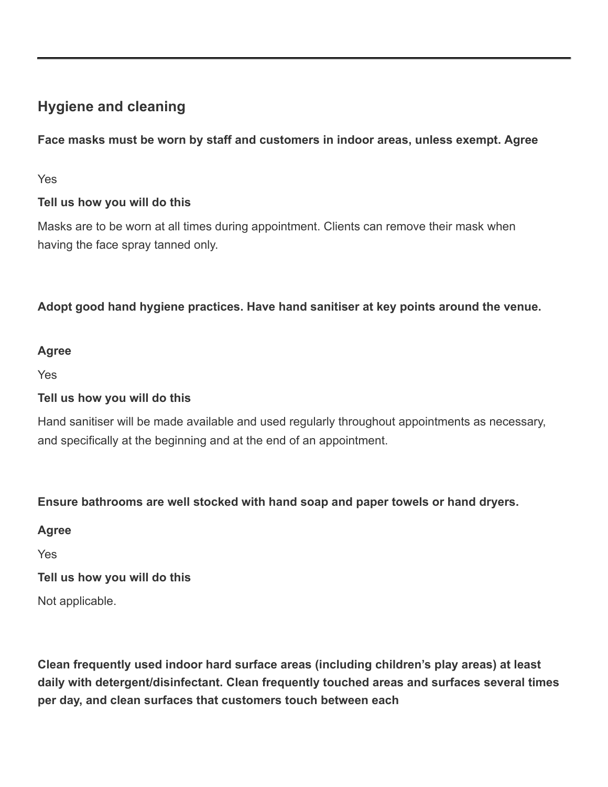# **Hygiene and cleaning**

**Face masks must be worn by staff and customers in indoor areas, unless exempt. Agree**

Yes

# **Tell us how you will do this**

Masks are to be worn at all times during appointment. Clients can remove their mask when having the face spray tanned only.

**Adopt good hand hygiene practices. Have hand sanitiser at key points around the venue.**

## **Agree**

Yes

## **Tell us how you will do this**

Hand sanitiser will be made available and used regularly throughout appointments as necessary, and specifically at the beginning and at the end of an appointment.

## **Ensure bathrooms are well stocked with hand soap and paper towels or hand dryers.**

**Agree**

Yes

**Tell us how you will do this**

Not applicable.

**Clean frequently used indoor hard surface areas (including children's play areas) at least daily with detergent/disinfectant. Clean frequently touched areas and surfaces several times per day, and clean surfaces that customers touch between each**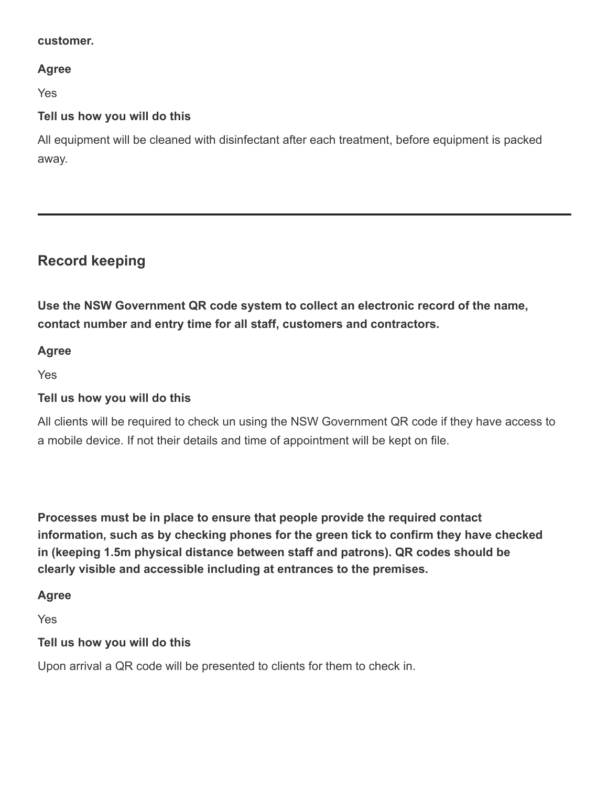#### **customer.**

#### **Agree**

Yes

#### **Tell us how you will do this**

All equipment will be cleaned with disinfectant after each treatment, before equipment is packed away.

# **Record keeping**

**Use the NSW Government QR code system to collect an electronic record of the name, contact number and entry time for all staff, customers and contractors.**

#### **Agree**

Yes

#### **Tell us how you will do this**

All clients will be required to check un using the NSW Government QR code if they have access to a mobile device. If not their details and time of appointment will be kept on file.

**Processes must be in place to ensure that people provide the required contact information, such as by checking phones for the green tick to confirm they have checked in (keeping 1.5m physical distance between staff and patrons). QR codes should be clearly visible and accessible including at entrances to the premises.**

#### **Agree**

Yes

#### **Tell us how you will do this**

Upon arrival a QR code will be presented to clients for them to check in.